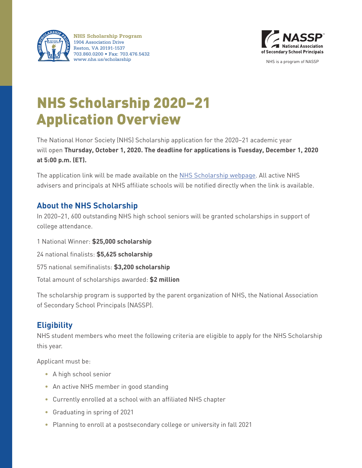

**NHS Scholarship Program** 1904 Association Drive Reston, VA 20191-1537 703.860.0200 • Fax: 703.476.5432 www.nhs.us/scholarship NHS is a program of NASSP



# NHS Scholarship 2020–21 Application Overview

The National Honor Society (NHS) Scholarship application for the 2020–21 academic year will open **Thursday, October 1, 2020. The deadline for applications is Tuesday, December 1, 2020 at 5:00 p.m. (ET).** 

The application link will be made available on the NHS Scholarship webpage. All active NHS advisers and principals at NHS affiliate schools will be notified directly when the link is available.

## **About the NHS Scholarship**

In 2020–21, 600 outstanding NHS high school seniors will be granted scholarships in support of college attendance.

1 National Winner: **\$25,000 scholarship**

24 national finalists: **\$5,625 scholarship**

575 national semifinalists: **\$3,200 scholarship**

Total amount of scholarships awarded: **\$2 million**

The scholarship program is supported by the parent organization of NHS, the National Association of Secondary School Principals (NASSP).

## **Eligibility**

NHS student members who meet the following criteria are eligible to apply for the NHS Scholarship this year.

Applicant must be:

- A high school senior
- An active NHS member in good standing
- Currently enrolled at a school with an affiliated NHS chapter
- Graduating in spring of 2021
- Planning to enroll at a postsecondary college or university in fall 2021